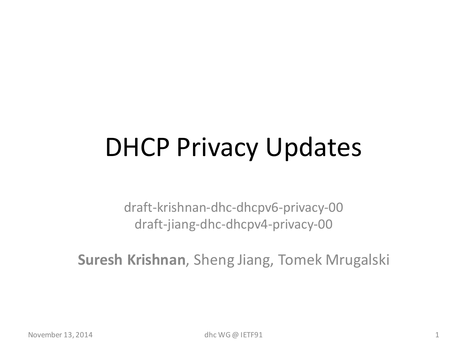## DHCP Privacy Updates

draft-krishnan-dhc-dhcpv6-privacy-00 draft-jiang-dhc-dhcpv4-privacy-00

**Suresh Krishnan**, Sheng Jiang, Tomek Mrugalski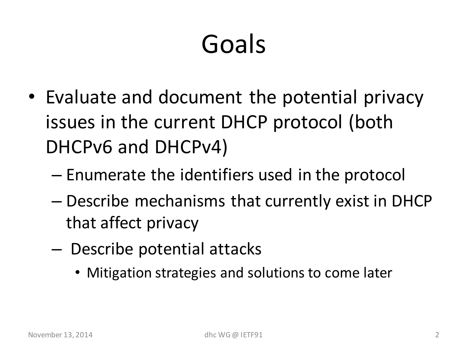## Goals

- Evaluate and document the potential privacy issues in the current DHCP protocol (both DHCPv6 and DHCPv4)
	- Enumerate the identifiers used in the protocol
	- Describe mechanisms that currently exist in DHCP that affect privacy
	- Describe potential attacks
		- Mitigation strategies and solutions to come later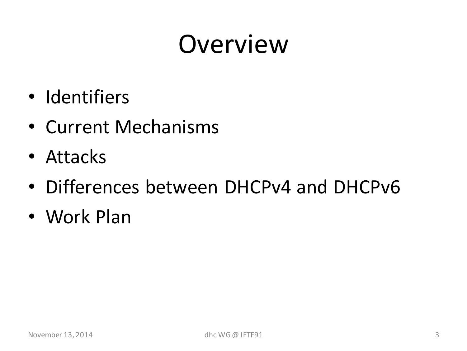- Identifiers
- Current Mechanisms
- Attacks
- Differences between DHCPv4 and DHCPv6
- Work Plan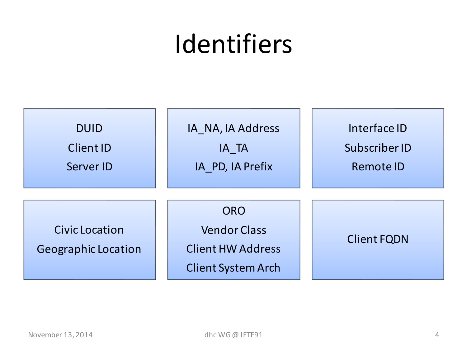### Identifiers

| <b>DUID</b>                                         | IA_NA, IA Address                                                                          | Interface ID       |
|-----------------------------------------------------|--------------------------------------------------------------------------------------------|--------------------|
| Client ID                                           | IA TA                                                                                      | Subscriber ID      |
| Server ID                                           | IA_PD, IA Prefix                                                                           | Remote ID          |
| <b>Civic Location</b><br><b>Geographic Location</b> | <b>ORO</b><br><b>Vendor Class</b><br><b>Client HW Address</b><br><b>Client System Arch</b> | <b>Client FQDN</b> |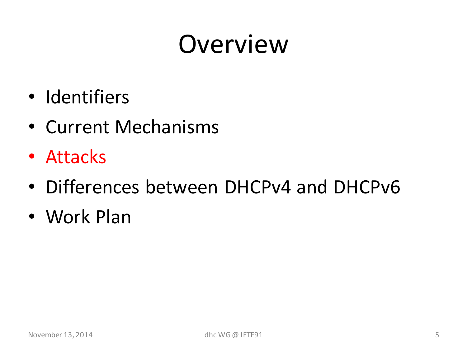- Identifiers
- Current Mechanisms
- Attacks
- Differences between DHCPv4 and DHCPv6
- Work Plan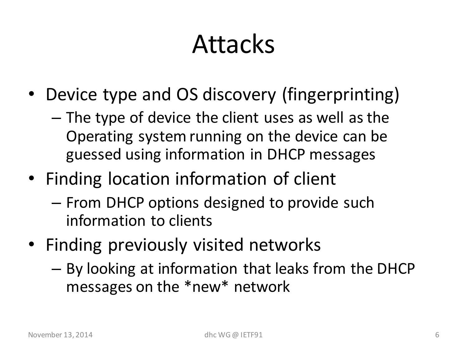#### Attacks

- Device type and OS discovery (fingerprinting)
	- The type of device the client uses as well as the Operating system running on the device can be guessed using information in DHCP messages
- Finding location information of client
	- From DHCP options designed to provide such information to clients
- Finding previously visited networks
	- By looking at information that leaks from the DHCP messages on the \*new\* network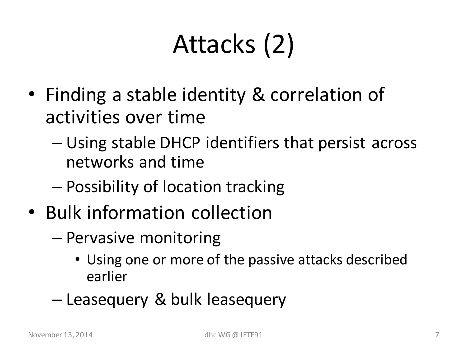# Attacks (2)

- Finding a stable identity & correlation of activities over time
	- Using stable DHCP identifiers that persist across networks and time
	- Possibility of location tracking
- Bulk information collection
	- Pervasive monitoring
		- Using one or more of the passive attacks described earlier
	- Leasequery & bulk leasequery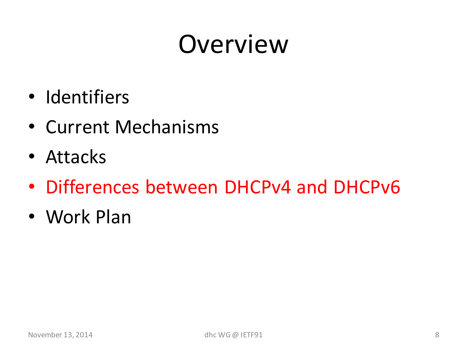- Identifiers
- Current Mechanisms
- Attacks
- Differences between DHCPv4 and DHCPv6
- Work Plan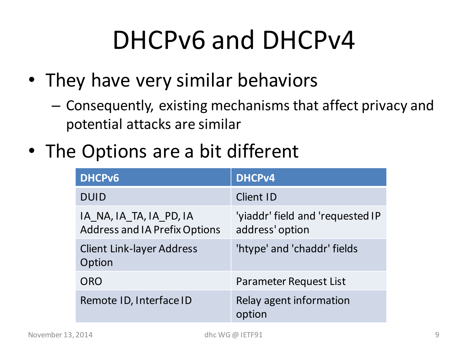## DHCPv6 and DHCPv4

- They have very similar behaviors
	- Consequently, existing mechanisms that affect privacy and potential attacks are similar
- The Options are a bit different

| <b>DHCPv6</b>                                                   | <b>DHCPv4</b>                                       |
|-----------------------------------------------------------------|-----------------------------------------------------|
| <b>DUID</b>                                                     | <b>Client ID</b>                                    |
| IA_NA, IA_TA, IA_PD, IA<br><b>Address and IA Prefix Options</b> | 'yiaddr' field and 'requested IP<br>address' option |
| <b>Client Link-layer Address</b><br>Option                      | 'htype' and 'chaddr' fields                         |
| <b>ORO</b>                                                      | Parameter Request List                              |
| Remote ID, Interface ID                                         | Relay agent information<br>option                   |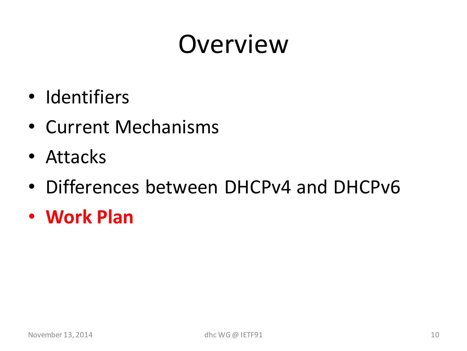- Identifiers
- Current Mechanisms
- Attacks
- Differences between DHCPv4 and DHCPv6
- **Work Plan**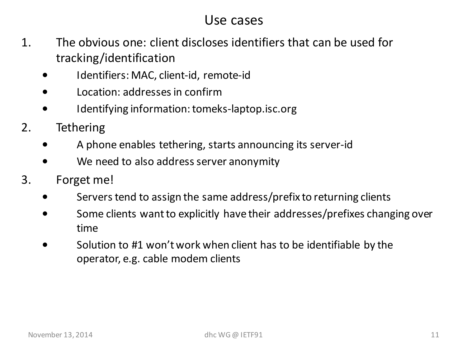#### Use cases

- 1. The obvious one: client discloses identifiers that can be used for tracking/identification
	- Identifiers: MAC, client-id, remote-id
	- Location: addresses in confirm
	- Identifying information: tomeks-laptop.isc.org
- 2. Tethering
	- A phone enables tethering, starts announcing its server-id
	- We need to also address server anonymity
- 3. Forget me!
	- Servers tend to assign the same address/prefix to returning clients
	- Some clients want to explicitly have their addresses/prefixes changing over time
	- Solution to #1 won't work when client has to be identifiable by the operator, e.g. cable modem clients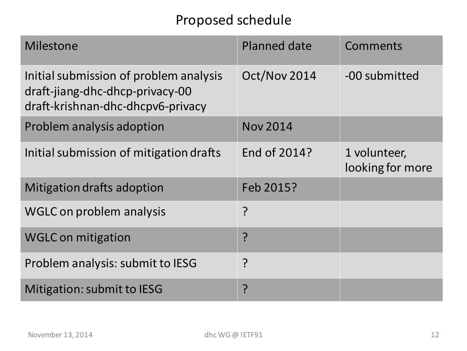#### Proposed schedule

| <b>Milestone</b>                                                                                               | <b>Planned date</b> | Comments                         |
|----------------------------------------------------------------------------------------------------------------|---------------------|----------------------------------|
| Initial submission of problem analysis<br>draft-jiang-dhc-dhcp-privacy-00<br>draft-krishnan-dhc-dhcpv6-privacy | Oct/Nov 2014        | -00 submitted                    |
| Problem analysis adoption                                                                                      | <b>Nov 2014</b>     |                                  |
| Initial submission of mitigation drafts                                                                        | End of 2014?        | 1 volunteer,<br>looking for more |
| Mitigation drafts adoption                                                                                     | Feb 2015?           |                                  |
| <b>WGLC on problem analysis</b>                                                                                | ?                   |                                  |
| <b>WGLC on mitigation</b>                                                                                      | <u>?</u>            |                                  |
| Problem analysis: submit to IESG                                                                               | ?                   |                                  |
| Mitigation: submit to IESG                                                                                     | ?<br>:              |                                  |